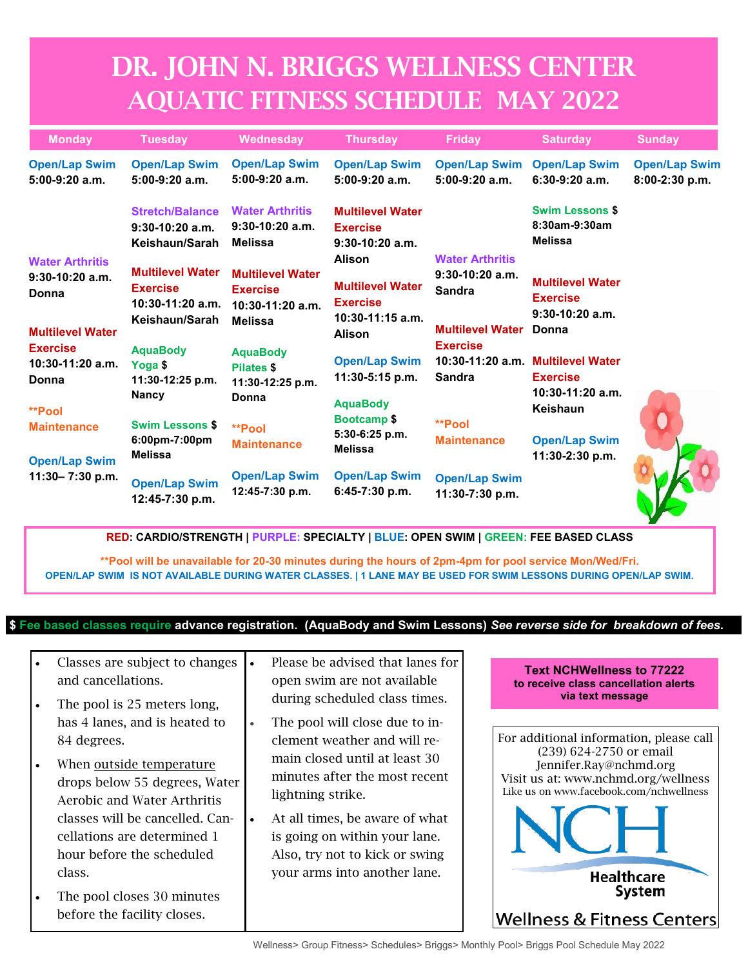## DR. JOHN N. BRIGGS WELLNESS CENTER AQUATIC FITNESS SCHEDULE MAY 2022

| <b>Monday</b>                                                                                                                     | <b>Tuesday</b>                                                                     | Wednesday                                                                          | <b>Thursday</b>                                                                                                                               | <b>Friday</b>                                                                                                                                               | <b>Saturday</b>                                                                                                                   | <b>Sunday</b>                          |
|-----------------------------------------------------------------------------------------------------------------------------------|------------------------------------------------------------------------------------|------------------------------------------------------------------------------------|-----------------------------------------------------------------------------------------------------------------------------------------------|-------------------------------------------------------------------------------------------------------------------------------------------------------------|-----------------------------------------------------------------------------------------------------------------------------------|----------------------------------------|
| <b>Open/Lap Swim</b><br>$5:00-9:20$ a.m.                                                                                          | <b>Open/Lap Swim</b><br>$5:00-9:20$ a.m.                                           | <b>Open/Lap Swim</b><br>$5:00-9:20$ a.m.                                           | <b>Open/Lap Swim</b><br>$5:00-9:20$ a.m.                                                                                                      | <b>Open/Lap Swim</b><br>$5:00-9:20$ a.m.                                                                                                                    | <b>Open/Lap Swim</b><br>$6:30-9:20$ a.m.                                                                                          | <b>Open/Lap Swim</b><br>8:00-2:30 p.m. |
|                                                                                                                                   | <b>Stretch/Balance</b><br>$9:30-10:20$ a.m.<br>Keishaun/Sarah                      | <b>Water Arthritis</b><br>$9:30-10:20$ a.m.<br><b>Melissa</b>                      | <b>Multilevel Water</b><br><b>Exercise</b><br>$9:30-10:20$ a.m.                                                                               | <b>Water Arthritis</b><br>$9:30-10:20$ a.m.<br><b>Sandra</b><br><b>Multilevel Water</b><br><b>Exercise</b><br><b>Sandra</b><br>**Pool<br><b>Maintenance</b> | <b>Swim Lessons \$</b><br>8:30am-9:30am<br><b>Melissa</b>                                                                         |                                        |
| <b>Water Arthritis</b><br>$9:30-10:20$ a.m.<br>Donna<br><b>Multilevel Water</b><br><b>Exercise</b><br>$10:30-11:20$ a.m.<br>Donna | <b>Multilevel Water</b><br><b>Exercise</b><br>$10:30-11:20$ a.m.<br>Keishaun/Sarah | <b>Multilevel Water</b><br><b>Exercise</b><br>$10:30-11:20$ a.m.<br><b>Melissa</b> | <b>Alison</b><br><b>Multilevel Water</b><br><b>Exercise</b><br>$10:30-11:15$ a.m.<br><b>Alison</b><br><b>Open/Lap Swim</b><br>11:30-5:15 p.m. |                                                                                                                                                             | <b>Multilevel Water</b><br><b>Exercise</b><br>$9:30-10:20$ a.m.<br>Donna                                                          |                                        |
|                                                                                                                                   | <b>AquaBody</b><br>Yoga \$<br>11:30-12:25 p.m.<br><b>Nancy</b>                     | <b>AquaBody</b><br><b>Pilates \$</b><br>11:30-12:25 p.m.<br>Donna                  |                                                                                                                                               |                                                                                                                                                             | 10:30-11:20 a.m. Multilevel Water<br><b>Exercise</b><br>$10:30-11:20$ a.m.<br>Keishaun<br><b>Open/Lap Swim</b><br>11:30-2:30 p.m. |                                        |
| <b>**Pool</b><br><b>Maintenance</b><br><b>Open/Lap Swim</b>                                                                       | <b>Swim Lessons \$</b><br>6:00pm-7:00pm<br>Melissa                                 | **Pool<br><b>Maintenance</b>                                                       | <b>AquaBody</b><br><b>Bootcamp \$</b><br>5:30-6:25 p.m.<br><b>Melissa</b>                                                                     |                                                                                                                                                             |                                                                                                                                   |                                        |
| 11:30-7:30 p.m.                                                                                                                   | <b>Open/Lap Swim</b><br>12:45-7:30 p.m.                                            | <b>Open/Lap Swim</b><br>12:45-7:30 p.m.                                            | <b>Open/Lap Swim</b><br>$6:45-7:30$ p.m.                                                                                                      | <b>Open/Lap Swim</b><br>11:30-7:30 p.m.                                                                                                                     |                                                                                                                                   |                                        |

**RED: CARDIO/STRENGTH | PURPLE: SPECIALTY | BLUE: OPEN SWIM | GREEN: FEE BASED CLASS**

**\*\*Pool will be unavailable for 20-30 minutes during the hours of 2pm-4pm for pool service Mon/Wed/Fri. OPEN/LAP SWIM IS NOT AVAILABLE DURING WATER CLASSES. | 1 LANE MAY BE USED FOR SWIM LESSONS DURING OPEN/LAP SWIM.**

## **\$ Fee based classes require advance registration. (AquaBody and Swim Lessons)** *See reverse side for breakdown of fees.*

|           | Classes are subject to changes<br>and cancellations.<br>The pool is 25 meters long,                                                                                                                                                                                                                            | $\bullet$              | Please be advised that lanes for<br>open swim are not available<br>during scheduled class times.                                                                                                                                                                                           | <b>Text NCHWellness to 77222</b><br>to receive class cancellation alerts<br>via text message                                                                                                                                                       |
|-----------|----------------------------------------------------------------------------------------------------------------------------------------------------------------------------------------------------------------------------------------------------------------------------------------------------------------|------------------------|--------------------------------------------------------------------------------------------------------------------------------------------------------------------------------------------------------------------------------------------------------------------------------------------|----------------------------------------------------------------------------------------------------------------------------------------------------------------------------------------------------------------------------------------------------|
| $\bullet$ | has 4 lanes, and is heated to<br>84 degrees.<br>When outside temperature<br>drops below 55 degrees, Water<br>Aerobic and Water Arthritis<br>classes will be cancelled. Can-<br>cellations are determined 1<br>hour before the scheduled<br>class.<br>The pool closes 30 minutes<br>before the facility closes. | $\bullet$<br>$\bullet$ | The pool will close due to in-<br>clement weather and will re-<br>main closed until at least 30<br>minutes after the most recent<br>lightning strike.<br>At all times, be aware of what<br>is going on within your lane.<br>Also, try not to kick or swing<br>your arms into another lane. | For additional information, please call<br>(239) 624-2750 or email<br>Jennifer.Ray@nchmd.org<br>Visit us at: www.nchmd.org/wellness<br>Like us on www.facebook.com/nchwellness<br><b>Healthcare</b><br><b>System</b><br>Wellness & Fitness Centers |